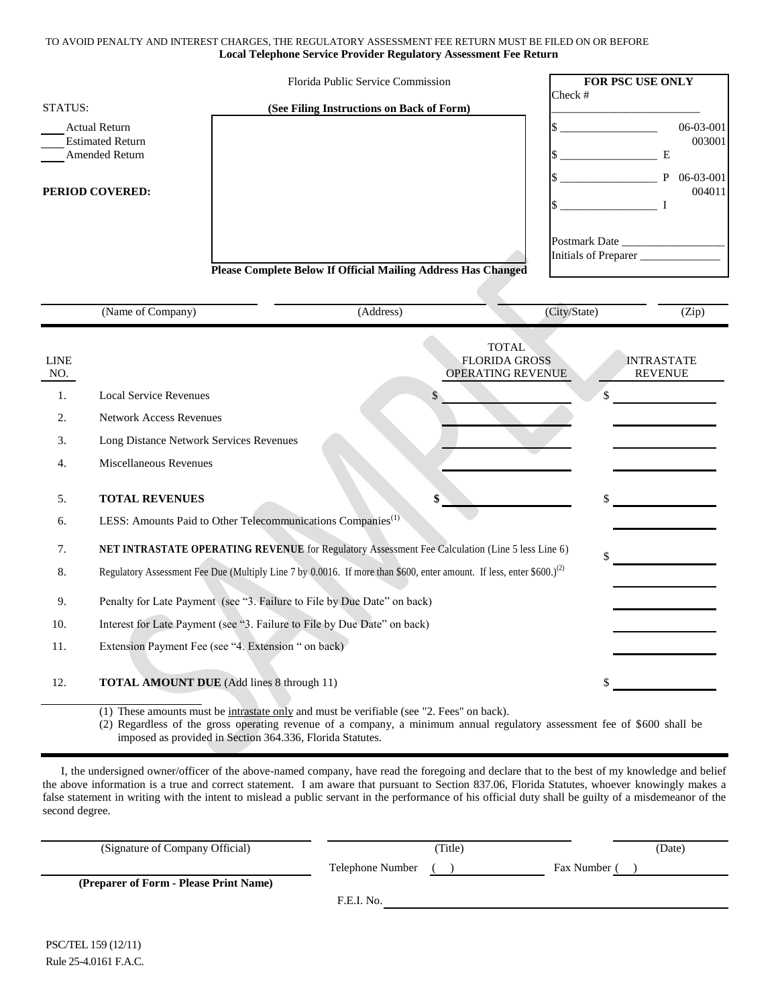## TO AVOID PENALTY AND INTEREST CHARGES, THE REGULATORY ASSESSMENT FEE RETURN MUST BE FILED ON OR BEFORE **Local Telephone Service Provider Regulatory Assessment Fee Return**

|                                                                                             |                                                                                                                                      |                                                                                                       | Florida Public Service Commission         |                                                           |                                                                                                                | FOR PSC USE ONLY                                  |
|---------------------------------------------------------------------------------------------|--------------------------------------------------------------------------------------------------------------------------------------|-------------------------------------------------------------------------------------------------------|-------------------------------------------|-----------------------------------------------------------|----------------------------------------------------------------------------------------------------------------|---------------------------------------------------|
| <b>STATUS:</b>                                                                              |                                                                                                                                      |                                                                                                       | (See Filing Instructions on Back of Form) |                                                           | Check #                                                                                                        |                                                   |
| <b>Actual Return</b><br><b>Estimated Return</b><br><b>Amended Return</b><br>PERIOD COVERED: |                                                                                                                                      |                                                                                                       |                                           |                                                           | and the contract of the state of the state of the state of the state of the state of the state of the state of | 06-03-001<br>003001<br>E<br>P 06-03-001<br>004011 |
|                                                                                             |                                                                                                                                      |                                                                                                       |                                           |                                                           |                                                                                                                |                                                   |
|                                                                                             |                                                                                                                                      |                                                                                                       |                                           |                                                           |                                                                                                                | Initials of Preparer                              |
|                                                                                             |                                                                                                                                      | <b>Please Complete Below If Official Mailing Address Has Changed</b>                                  |                                           |                                                           |                                                                                                                |                                                   |
|                                                                                             | (Name of Company)                                                                                                                    |                                                                                                       | (Address)                                 |                                                           | (City/State)                                                                                                   | (Zip)                                             |
| <b>LINE</b><br>NO.<br>1.<br>2.<br>3.<br>4.                                                  | <b>Local Service Revenues</b><br><b>Network Access Revenues</b><br>Long Distance Network Services Revenues<br>Miscellaneous Revenues |                                                                                                       | \$                                        | <b>TOTAL</b><br><b>FLORIDA GROSS</b><br>OPERATING REVENUE | \$                                                                                                             | <b>INTRASTATE</b><br><b>REVENUE</b>               |
| 5.                                                                                          | <b>TOTAL REVENUES</b>                                                                                                                |                                                                                                       |                                           |                                                           | \$                                                                                                             |                                                   |
| 6.                                                                                          |                                                                                                                                      | LESS: Amounts Paid to Other Telecommunications Companies <sup>(1)</sup>                               |                                           |                                                           |                                                                                                                |                                                   |
| 7.                                                                                          |                                                                                                                                      | NET INTRASTATE OPERATING REVENUE for Regulatory Assessment Fee Calculation (Line 5 less Line 6)<br>\$ |                                           |                                                           |                                                                                                                |                                                   |
| 8.                                                                                          | Regulatory Assessment Fee Due (Multiply Line 7 by 0.0016. If more than \$600, enter amount. If less, enter \$600.) <sup>(2)</sup>    |                                                                                                       |                                           |                                                           |                                                                                                                |                                                   |
| 9.                                                                                          | Penalty for Late Payment (see "3. Failure to File by Due Date" on back)                                                              |                                                                                                       |                                           |                                                           |                                                                                                                |                                                   |
| 10.                                                                                         |                                                                                                                                      | Interest for Late Payment (see "3. Failure to File by Due Date" on back)                              |                                           |                                                           |                                                                                                                |                                                   |
| 11.                                                                                         |                                                                                                                                      | Extension Payment Fee (see "4. Extension " on back)                                                   |                                           |                                                           |                                                                                                                |                                                   |
| 12.                                                                                         | <b>TOTAL AMOUNT DUE</b> (Add lines 8 through 11)                                                                                     |                                                                                                       |                                           |                                                           |                                                                                                                |                                                   |
|                                                                                             |                                                                                                                                      | (1) These amounts must be intrastate only and must be verifiable (see "2. Fees" on back).             |                                           |                                                           |                                                                                                                |                                                   |

(2) Regardless of the gross operating revenue of a company, a minimum annual regulatory assessment fee of \$600 shall be imposed as provided in Section 364.336, Florida Statutes.

I, the undersigned owner/officer of the above-named company, have read the foregoing and declare that to the best of my knowledge and belief the above information is a true and correct statement. I am aware that pursuant to Section 837.06, Florida Statutes, whoever knowingly makes a false statement in writing with the intent to mislead a public servant in the performance of his official duty shall be guilty of a misdemeanor of the second degree.

| (Signature of Company Official)        | Title)           |            | (Date) |
|----------------------------------------|------------------|------------|--------|
|                                        | Telephone Number | Fax Number |        |
| (Preparer of Form - Please Print Name) |                  |            |        |
|                                        | F.E.I. No.       |            |        |